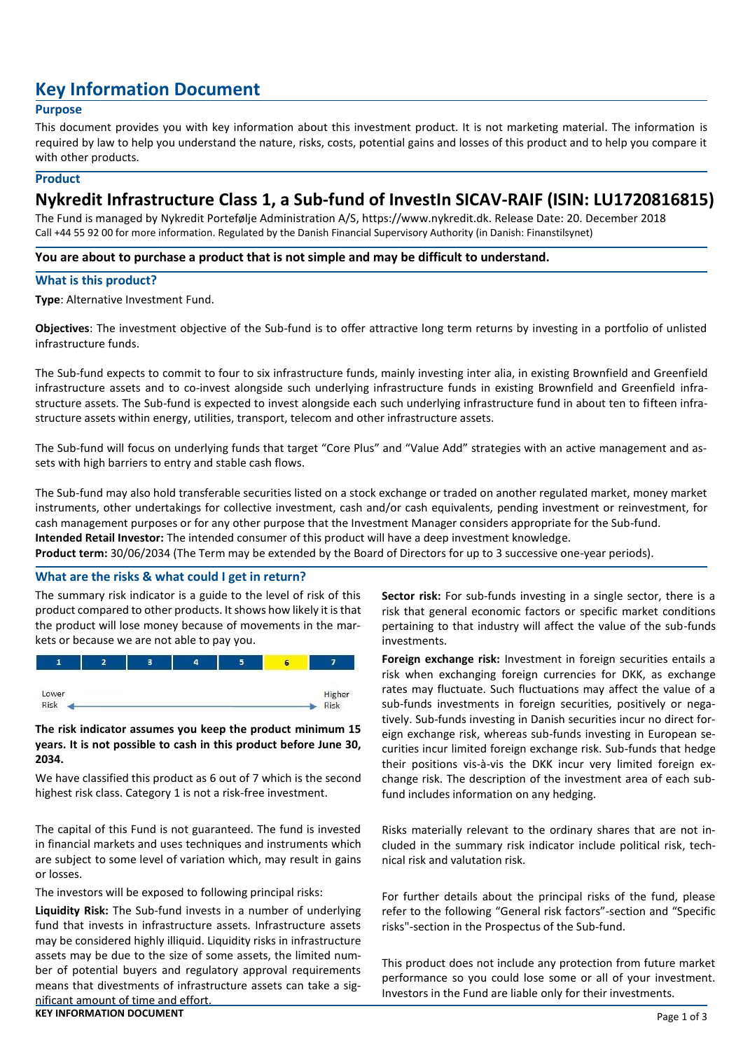# **Key Information Document**

# **Purpose**

This document provides you with key information about this investment product. It is not marketing material. The information is required by law to help you understand the nature, risks, costs, potential gains and losses of this product and to help you compare it with other products.

#### **Product**

# **Nykredit Infrastructure Class 1, a Sub-fund of InvestIn SICAV-RAIF (ISIN: LU1720816815)**

The Fund is managed by Nykredit Portefølje Administration A/S, https://www.nykredit.dk. Release Date: 20. December 2018 Call +44 55 92 00 for more information. Regulated by the Danish Financial Supervisory Authority (in Danish: Finanstilsynet)

#### **You are about to purchase a product that is not simple and may be difficult to understand.**

#### **What is this product?**

**Type**: Alternative Investment Fund.

**Objectives**: The investment objective of the Sub-fund is to offer attractive long term returns by investing in a portfolio of unlisted infrastructure funds.

The Sub-fund expects to commit to four to six infrastructure funds, mainly investing inter alia, in existing Brownfield and Greenfield infrastructure assets and to co-invest alongside such underlying infrastructure funds in existing Brownfield and Greenfield infrastructure assets. The Sub-fund is expected to invest alongside each such underlying infrastructure fund in about ten to fifteen infrastructure assets within energy, utilities, transport, telecom and other infrastructure assets.

The Sub-fund will focus on underlying funds that target "Core Plus" and "Value Add" strategies with an active management and assets with high barriers to entry and stable cash flows.

The Sub-fund may also hold transferable securities listed on a stock exchange or traded on another regulated market, money market instruments, other undertakings for collective investment, cash and/or cash equivalents, pending investment or reinvestment, for cash management purposes or for any other purpose that the Investment Manager considers appropriate for the Sub-fund. **Intended Retail Investor:** The intended consumer of this product will have a deep investment knowledge.

**Product term:** 30/06/2034 (The Term may be extended by the Board of Directors for up to 3 successive one-year periods).

#### **What are the risks & what could I get in return?**

The summary risk indicator is a guide to the level of risk of this product compared to other products. It shows how likely it is that the product will lose money because of movements in the markets or because we are not able to pay you.



# **The risk indicator assumes you keep the product minimum 15 years. It is not possible to cash in this product before June 30, 2034.**

We have classified this product as 6 out of 7 which is the second highest risk class. Category 1 is not a risk-free investment.

The capital of this Fund is not guaranteed. The fund is invested in financial markets and uses techniques and instruments which are subject to some level of variation which, may result in gains or losses.

The investors will be exposed to following principal risks:

**KEY INFORMATION DOCUMENT** Page 1 of 3 **Liquidity Risk:** The Sub-fund invests in a number of underlying fund that invests in infrastructure assets. Infrastructure assets may be considered highly illiquid. Liquidity risks in infrastructure assets may be due to the size of some assets, the limited number of potential buyers and regulatory approval requirements means that divestments of infrastructure assets can take a significant amount of time and effort.

**Sector risk:** For sub-funds investing in a single sector, there is a risk that general economic factors or specific market conditions pertaining to that industry will affect the value of the sub-funds investments.

**Foreign exchange risk:** Investment in foreign securities entails a risk when exchanging foreign currencies for DKK, as exchange rates may fluctuate. Such fluctuations may affect the value of a sub-funds investments in foreign securities, positively or negatively. Sub-funds investing in Danish securities incur no direct foreign exchange risk, whereas sub-funds investing in European securities incur limited foreign exchange risk. Sub-funds that hedge their positions vis-à-vis the DKK incur very limited foreign exchange risk. The description of the investment area of each subfund includes information on any hedging.

Risks materially relevant to the ordinary shares that are not included in the summary risk indicator include political risk, technical risk and valutation risk.

For further details about the principal risks of the fund, please refer to the following "General risk factors"-section and "Specific risks"-section in the Prospectus of the Sub-fund.

This product does not include any protection from future market performance so you could lose some or all of your investment. Investors in the Fund are liable only for their investments.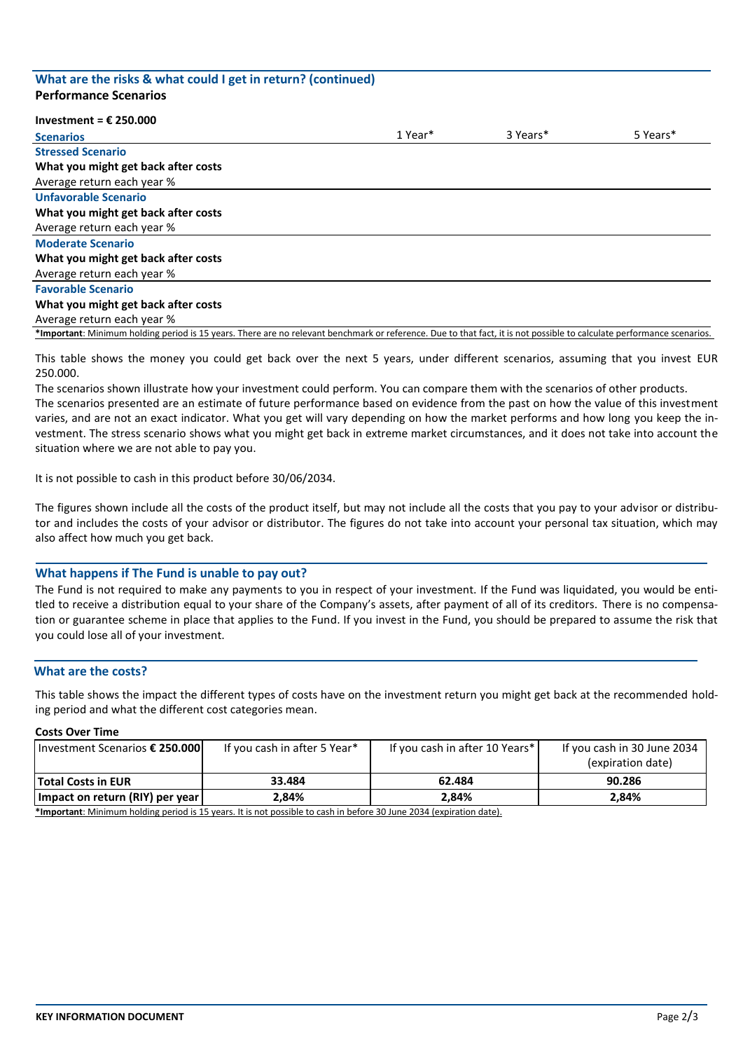#### **What are the risks & what could I get in return? (continued) Performance Scenarios**

#### **Investment = € 250.000**

| <b>Scenarios</b>                                                                                                                                                       | 1 Year* | 3 Years* | 5 Years* |
|------------------------------------------------------------------------------------------------------------------------------------------------------------------------|---------|----------|----------|
| <b>Stressed Scenario</b>                                                                                                                                               |         |          |          |
| What you might get back after costs                                                                                                                                    |         |          |          |
| Average return each year %                                                                                                                                             |         |          |          |
| <b>Unfavorable Scenario</b>                                                                                                                                            |         |          |          |
| What you might get back after costs                                                                                                                                    |         |          |          |
| Average return each year %                                                                                                                                             |         |          |          |
| <b>Moderate Scenario</b>                                                                                                                                               |         |          |          |
| What you might get back after costs                                                                                                                                    |         |          |          |
| Average return each year %                                                                                                                                             |         |          |          |
| <b>Favorable Scenario</b>                                                                                                                                              |         |          |          |
| What you might get back after costs                                                                                                                                    |         |          |          |
| Average return each year %                                                                                                                                             |         |          |          |
| *Important: Minimum holding period is 15 years. There are no relevant benchmark or reference. Due to that fact, it is not possible to calculate performance scenarios. |         |          |          |

This table shows the money you could get back over the next 5 years, under different scenarios, assuming that you invest EUR 250.000.

The scenarios shown illustrate how your investment could perform. You can compare them with the scenarios of other products. The scenarios presented are an estimate of future performance based on evidence from the past on how the value of this investment varies, and are not an exact indicator. What you get will vary depending on how the market performs and how long you keep the investment. The stress scenario shows what you might get back in extreme market circumstances, and it does not take into account the situation where we are not able to pay you.

It is not possible to cash in this product before 30/06/2034.

The figures shown include all the costs of the product itself, but may not include all the costs that you pay to your advisor or distributor and includes the costs of your advisor or distributor. The figures do not take into account your personal tax situation, which may also affect how much you get back.

#### **What happens if The Fund is unable to pay out?**

The Fund is not required to make any payments to you in respect of your investment. If the Fund was liquidated, you would be entitled to receive a distribution equal to your share of the Company's assets, after payment of all of its creditors. There is no compensation or guarantee scheme in place that applies to the Fund. If you invest in the Fund, you should be prepared to assume the risk that you could lose all of your investment.

#### **What are the costs?**

This table shows the impact the different types of costs have on the investment return you might get back at the recommended holding period and what the different cost categories mean.

#### **Costs Over Time**

| Investment Scenarios € 250.000                                                                                                                                                                                                 | If you cash in after 5 Year* | If you cash in after 10 Years* | If you cash in 30 June 2034<br>(expiration date) |
|--------------------------------------------------------------------------------------------------------------------------------------------------------------------------------------------------------------------------------|------------------------------|--------------------------------|--------------------------------------------------|
| Total Costs in EUR                                                                                                                                                                                                             | 33.484                       | 62.484                         | 90.286                                           |
| Impact on return (RIY) per year                                                                                                                                                                                                | 2.84%                        | 2.84%                          | 2.84%                                            |
| tic not not and the bolding part of the part of the part part in her cash in her cash in the cash in the cash in the cash in the cash in the cash in the cash in the cash in the cash in the cash in the cash in the cash in t |                              |                                |                                                  |

**\*Important**: Minimum holding period is 15 years. It is not possible to cash in before 30 June 2034 (expiration date).